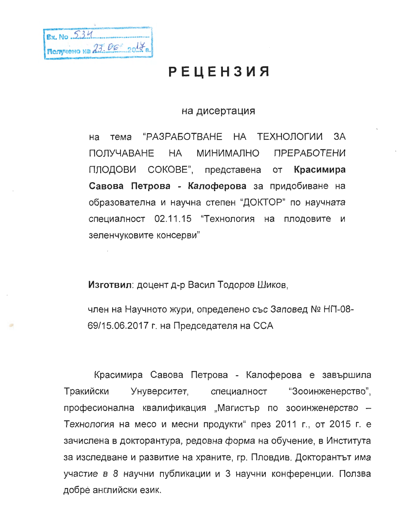| NAMES AND DESCRIPTIONS OF REAL PROPERTY. |
|------------------------------------------|
| EX. No. 234                              |
|                                          |
|                                          |
| RODYVONO Na 23.06 2017 a.                |
|                                          |

## РЕЦЕНЗИЯ

## на дисертация

тема "РАЗРАБОТВАНЕ НА ТЕХНОЛОГИИ на 3A ПОЛУЧАВАНЕ HA. МИНИМАЛНО ПРЕРАБОТЕНИ ПЛОДОВИ СОКОВЕ", представена от Красимира Савова Петрова - Калоферова за придобиване на образователна и научна степен "ДОКТОР" по научната специалност 02.11.15 "Технология на плодовите и зеленчуковите консерви"

Изготвил: доцент д-р Васил Тодоров Шиков,

член на Научното жури, определено със Заповед № НП-08-69/15.06.2017 г. на Председателя на ССА

Красимира Савова Петрова - Калоферова е завършила Тракийски Унуверситет, специалност "Зооинженерство", професионална квалификация "Магистър по зооинженерство -Технология на месо и месни продукти" през 2011 г., от 2015 г. е зачислена в докторантура, редовна форма на обучение, в Института за изследване и развитие на храните, гр. Пловдив. Докторантът има участие в 8 научни публикации и 3 научни конференции. Ползва добре английски език.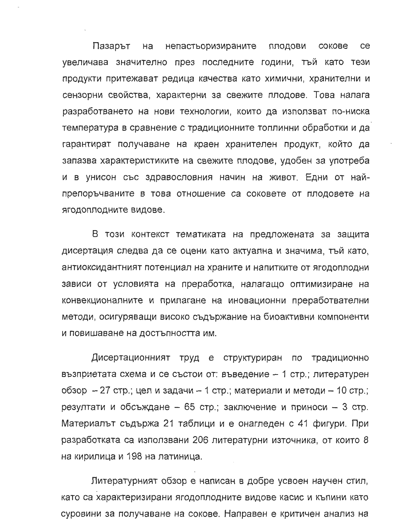Пазарът на непастьоризираните плодови сокове ce увеличава значително през последните години, тъй като тези продукти притежават редица качества като химични, хранителни и сензорни свойства, характерни за свежите плодове. Това налага разработването на нови технологии, които да използват по-ниска температура в сравнение с традиционните топлинни обработки и да гарантират получаване на краен хранителен продукт, който да запазва характеристиките на свежите плодове, удобен за употреба и в унисон със здравословния начин на живот. Едни от найпрепоръчваните в това отношение са соковете от плодовете на ягодоплодните видове.

В този контекст тематиката на предложената за защита дисертация следва да се оцени като актуална и значима, тъй като, антиоксидантният потенциал на храните и напитките от ягодоплодни зависи от условията на преработка, налагащо оптимизиране на конвекционалните и прилагане на иновационни преработвателни методи, осигуряващи високо съдържание на биоактивни компоненти и повишаване на достъпността им.

Дисертационният труд е структуриран по традиционно възприетата схема и се състои от: въведение – 1 стр.; литературен обзор – 27 стр.; цел и задачи – 1 стр.; материали и методи – 10 стр.; резултати и обсъждане – 65 стр.; заключение и приноси – 3 стр. Материалът съдържа 21 таблици и е онагледен с 41 фигури. При разработката са използвани 206 литературни източника, от които 8 на кирилица и 198 на латиница.

Литературният обзор е написан в добре усвоен научен стил, като са характеризирани ягодоплодните видове касис и къпини като суровини за получаване на сокове. Направен е критичен анализ на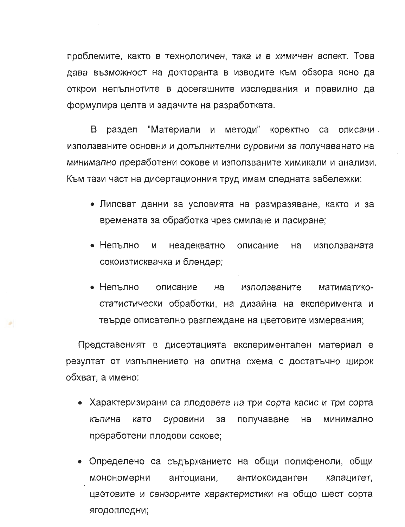проблемите, както в технологичен, така и в химичен аспект. Това дава възможност на докторанта в изводите към обзора ясно да открои непълнотите в досегашните изследвания и правилно да формулира целта и задачите на разработката.

"Материали и методи" коректно са описани B раздел използваните основни и допълнителни суровини за получаването на минимално преработени сокове и използваните химикали и анализи. Към тази част на дисертационния труд имам следната забележки:

- Липсват данни за условията на размразяване, както и за времената за обработка чрез смилане и пасиране;
- Непълно И неадекватно описание на използваната сокоизтисквачка и блендер;
- Непълно описание на използваните матиматикостатистически обработки, на дизайна на експеримента и твърде описателно разглеждане на цветовите измервания;

Представеният в дисертацията експериментален материал е резултат от изпълнението на опитна схема с достатъчно широк обхват, а имено:

- Характеризирани са плодовете на три сорта касис и три сорта къпина като суровини получаване за на минимално преработени плодови сокове;
- Определено са съдържанието на общи полифеноли, общи антоциани, монономерни антиоксидантен капацитет, цветовите и сензорните характеристики на общо шест сорта ЯГОДОПЛОДНИ;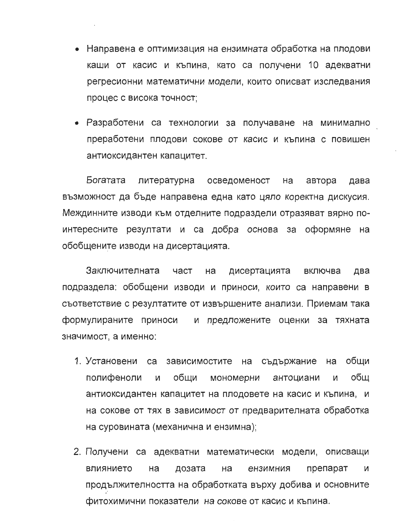- Направена е оптимизация на ензимната обработка на плодови каши от касис и къпина, като са получени 10 адекватни регресионни математични модели, които описват изследвания процес с висока точност;
- Разработени са технологии за получаване на минимално преработени плодови сокове от касис и къпина с повишен антиоксидантен капацитет.

Богатата литературна осведоменост на автора дава възможност да бъде направена една като цяло коректна дискусия. Междинните изводи към отделните подраздели отразяват вярно поинтересните резултати и са добра основа за оформяне на обобщените изводи на дисертацията.

Заключителната част на дисертацията включва два подраздела: обобщени изводи и приноси, които са направени в съответствие с резултатите от извършените анализи. Приемам така формулираните приноси и предложените оценки за тяхната значимост, а именно:

- 1. Установени са зависимостите на съдържание обши на полифеноли общи обш И мономерни антоциани И антиоксидантен капацитет на плодовете на касис и къпина, и на сокове от тях в зависимост от предварителната обработка на суровината (механична и ензимна):
- 2. Получени са адекватни математически модели, описващи влиянието препарат Ha дозата на ензимния И продължителността на обработката върху добива и основните фитохимични показатели на сокове от касис и къпина.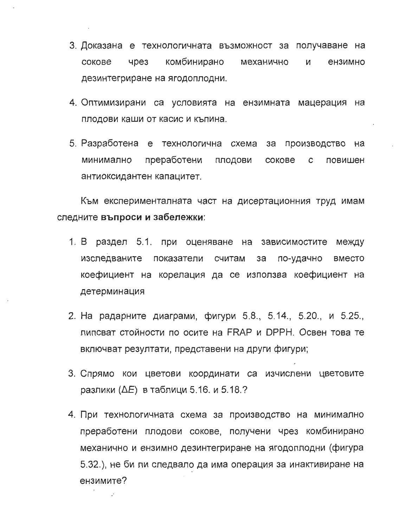- 3. Доказана е технологичната възможност за получаване на сокове **чрез** комбинирано механично И ензимно дезинтегриране на ягодоплодни.
- 4. Оптимизирани са условията на ензимната мацерация на плодови каши от касис и къпина.
- 5. Разработена е технологична схема за производство на преработени ПЛОДОВИ  $\mathbf{C}$ повишен минимално сокове антиоксидантен капацитет.

Към експерименталната част на дисертационния труд имам следните въпроси и забележки:

- 1. В раздел 5.1. при оценяване на зависимостите между изследваните показатели считам по-удачно за **BMECTO** коефициент на корелация да се използва коефициент на детерминация
- 2. На радарните диаграми, фигури 5.8., 5.14., 5.20., и 5.25., липсват стойности по осите на FRAP и DPPH. Освен това те включват резултати, представени на други фигури;
- 3. Спрямо кои цветови координати са изчислени цветовите разлики ( $\Delta E$ ) в таблици 5.16. и 5.18.?
- 4. При технологичната схема за производство на минимално преработени плодови сокове, получени чрез комбинирано механично и ензимно дезинтегриране на ягодоплодни (фигура 5.32.), не би ли следвало да има операция за инактивиране на ензимите?